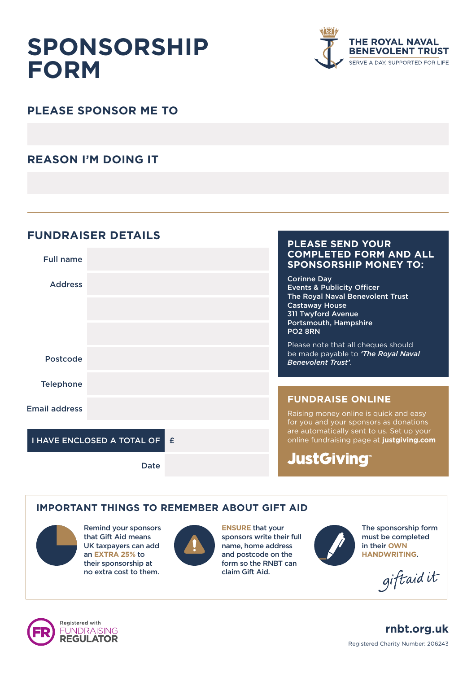# **SPONSORSHIP FORM**



## **PLEASE SPONSOR ME TO**

### **REASON I'M DOING IT**

#### **FUNDRAISER DETAILS**



#### **IMPORTANT THINGS TO REMEMBER ABOUT GIFT AID**



Remind your sponsors that Gift Aid means UK taxpayers can add an **EXTRA 25%** to their sponsorship at no extra cost to them.



**ENSURE** that your sponsors write their full name, home address and postcode on the form so the RNBT can claim Gift Aid.



The sponsorship form must be completed in their **OWN HANDWRITING**.

giftaidit





Registered Charity Number: 206243 **rnbt.org.uk**